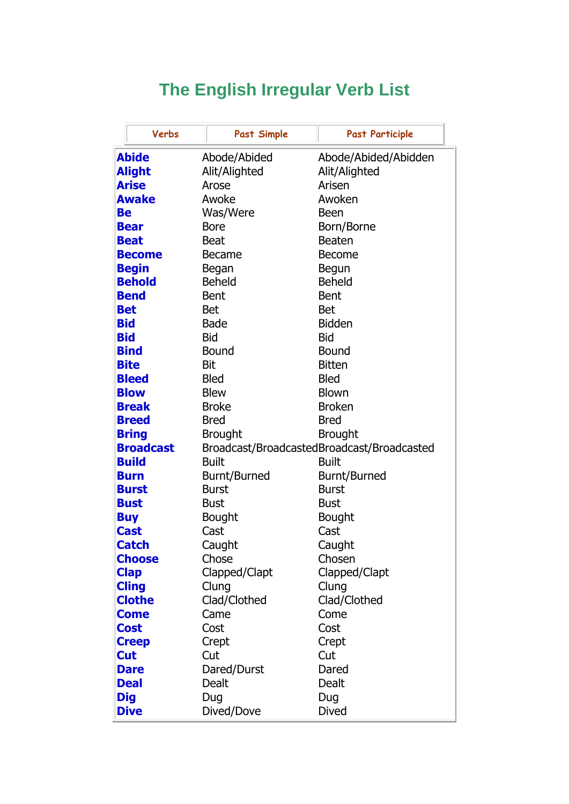## **The English Irregular Verb List**

|                  | Verbs         | <b>Past Simple</b>                         | <b>Past Participle</b> |
|------------------|---------------|--------------------------------------------|------------------------|
| <b>Abide</b>     |               | Abode/Abided                               | Abode/Abided/Abidden   |
|                  | <b>Alight</b> | Alit/Alighted                              | Alit/Alighted          |
|                  | <b>Arise</b>  | Arose                                      | Arisen                 |
|                  | <b>Awake</b>  | Awoke                                      | Awoken                 |
| Be               |               | Was/Were                                   | <b>Been</b>            |
|                  | <b>Bear</b>   | <b>Bore</b>                                | Born/Borne             |
|                  | <b>Beat</b>   | <b>Beat</b>                                | <b>Beaten</b>          |
|                  | <b>Become</b> | <b>Became</b>                              | <b>Become</b>          |
|                  | <b>Begin</b>  | Began                                      | Begun                  |
|                  | <b>Behold</b> | <b>Beheld</b>                              | <b>Beheld</b>          |
|                  | <b>Bend</b>   | <b>Bent</b>                                | <b>Bent</b>            |
|                  | <b>Bet</b>    | <b>Bet</b>                                 | <b>Bet</b>             |
| <b>Bid</b>       |               | <b>Bade</b>                                | <b>Bidden</b>          |
| <b>Bid</b>       |               | <b>Bid</b>                                 | <b>Bid</b>             |
|                  | <b>Bind</b>   | <b>Bound</b>                               | <b>Bound</b>           |
|                  | <b>Bite</b>   | <b>Bit</b>                                 | <b>Bitten</b>          |
|                  | <b>Bleed</b>  | <b>Bled</b>                                | <b>Bled</b>            |
|                  | <b>Blow</b>   | <b>Blew</b>                                | <b>Blown</b>           |
|                  | <b>Break</b>  | <b>Broke</b>                               | <b>Broken</b>          |
|                  | <b>Breed</b>  | <b>Bred</b>                                | <b>Bred</b>            |
|                  | <b>Bring</b>  | <b>Brought</b>                             | <b>Brought</b>         |
| <b>Broadcast</b> |               | Broadcast/BroadcastedBroadcast/Broadcasted |                        |
|                  | <b>Build</b>  | <b>Built</b>                               | <b>Built</b>           |
|                  | <b>Burn</b>   | <b>Burnt/Burned</b>                        | Burnt/Burned           |
|                  | <b>Burst</b>  | <b>Burst</b>                               | <b>Burst</b>           |
|                  | <b>Bust</b>   | <b>Bust</b>                                | <b>Bust</b>            |
|                  | <b>Buy</b>    | Bought                                     | <b>Bought</b>          |
|                  | <b>Cast</b>   | Cast                                       | Cast                   |
|                  | <b>Catch</b>  | Caught                                     | Caught                 |
|                  | <b>Choose</b> | Chose                                      | Chosen                 |
|                  | <b>Clap</b>   | Clapped/Clapt                              | Clapped/Clapt          |
|                  | <b>Cling</b>  | Clung                                      | Clung                  |
|                  | <b>Clothe</b> | Clad/Clothed                               | Clad/Clothed           |
|                  | <b>Come</b>   | Came                                       | Come                   |
|                  | <b>Cost</b>   | Cost                                       | Cost                   |
|                  | <b>Creep</b>  | Crept                                      | Crept                  |
|                  | <b>Cut</b>    | Cut                                        | Cut                    |
|                  | <b>Dare</b>   | Dared/Durst                                | Dared                  |
|                  | <b>Deal</b>   | Dealt                                      | Dealt                  |
|                  | <b>Dig</b>    | Dug                                        | Dug                    |
|                  | <b>Dive</b>   | Dived/Dove                                 | <b>Dived</b>           |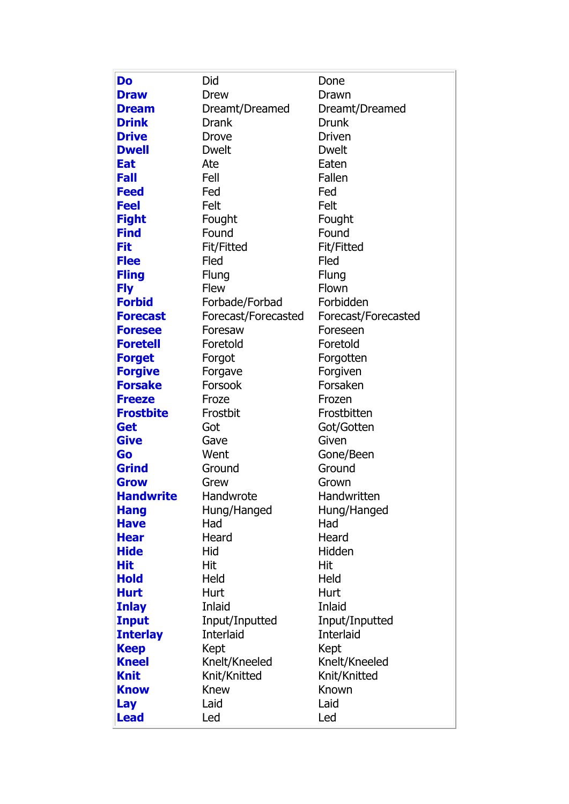| Do                          | Did                 | Done                 |
|-----------------------------|---------------------|----------------------|
| <b>Draw</b>                 | Drew                | Drawn                |
| <b>Dream</b>                | Dreamt/Dreamed      | Dreamt/Dreamed       |
| <b>Drink</b>                | <b>Drank</b>        | <b>Drunk</b>         |
| <b>Drive</b>                | Drove               | <b>Driven</b>        |
| <b>Dwell</b>                | <b>Dwelt</b>        | <b>Dwelt</b>         |
| <b>Eat</b>                  | Ate                 | Eaten                |
| <b>Fall</b>                 | Fell                | Fallen               |
| <b>Feed</b>                 | Fed                 | Fed                  |
| <b>Feel</b>                 | Felt                | Felt                 |
| <b>Fight</b>                | Fought              | Fought               |
| <b>Find</b>                 | Found               | Found                |
| Fit                         | <b>Fit/Fitted</b>   | <b>Fit/Fitted</b>    |
| <b>Flee</b>                 | Fled                | Fled                 |
| <b>Fling</b>                | Flung               | Flung                |
| <b>Fly</b>                  | <b>Flew</b>         | Flown                |
| <b>Forbid</b>               | Forbade/Forbad      | Forbidden            |
| <b>Forecast</b>             | Forecast/Forecasted | Forecast/Forecasted  |
| <b>Foresee</b>              | Foresaw             | Foreseen             |
| <b>Foretell</b>             | Foretold            | Foretold             |
| <b>Forget</b>               | Forgot              | Forgotten            |
| <b>Forgive</b>              | Forgave             | Forgiven             |
| <b>Forsake</b>              | Forsook             | Forsaken             |
| <b>Freeze</b>               | Froze               | Frozen               |
| <b>Frostbite</b>            | Frostbit            | Frostbitten          |
| Get                         | Got                 | Got/Gotten           |
| <b>Give</b>                 | Gave                | Given                |
| Go                          | Went                | Gone/Been            |
| <b>Grind</b><br><b>Grow</b> | Ground              | Ground               |
| <b>Handwrite</b>            | Grew<br>Handwrote   | Grown<br>Handwritten |
| <b>Hang</b>                 | Hung/Hanged         | Hung/Hanged          |
| <b>Have</b>                 | Had                 | Had                  |
| <b>Hear</b>                 | Heard               | Heard                |
| <b>Hide</b>                 | Hid                 | Hidden               |
| Hit                         | Hit                 | Hit                  |
| <b>Hold</b>                 | Held                | Held                 |
| <b>Hurt</b>                 | Hurt                | Hurt                 |
| <b>Inlay</b>                | Inlaid              | Inlaid               |
| <b>Input</b>                | Input/Inputted      | Input/Inputted       |
| <b>Interlay</b>             | Interlaid           | <b>Interlaid</b>     |
| <b>Keep</b>                 | Kept                | Kept                 |
| <b>Kneel</b>                | Knelt/Kneeled       | Knelt/Kneeled        |
| <b>Knit</b>                 | Knit/Knitted        | Knit/Knitted         |
| <b>Know</b>                 | Knew                | Known                |
| Lay                         | Laid                | Laid                 |
| <b>Lead</b>                 | Led                 | Led                  |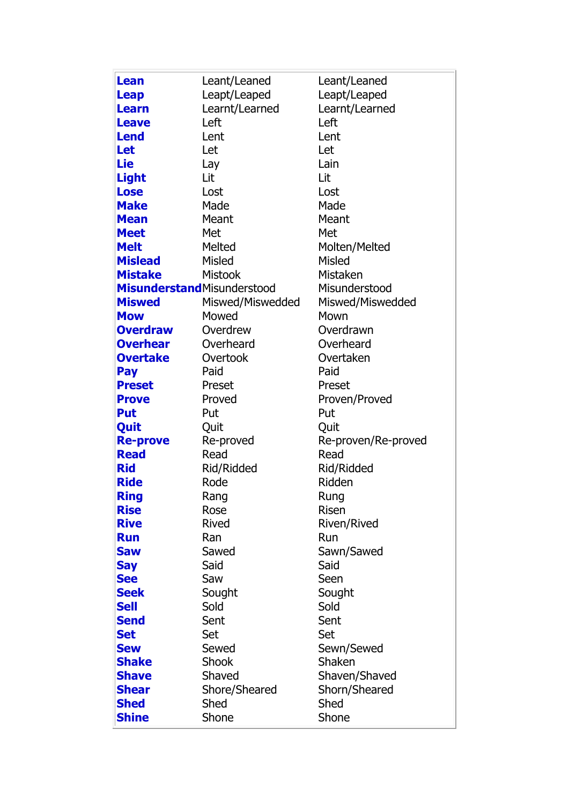| <b>Lean</b>                        | Leant/Leaned     | Leant/Leaned        |
|------------------------------------|------------------|---------------------|
| <b>Leap</b>                        | Leapt/Leaped     | Leapt/Leaped        |
| <b>Learn</b>                       | Learnt/Learned   | Learnt/Learned      |
| <b>Leave</b>                       | Left             | Left                |
| <b>Lend</b>                        | Lent             | Lent                |
| <b>Let</b>                         | Let              | Let                 |
| Lie                                | Lay              | Lain                |
| <b>Light</b>                       | Lit              | Lit                 |
| <b>Lose</b>                        | Lost             | Lost                |
| <b>Make</b>                        | Made             | Made                |
| <b>Mean</b>                        | Meant            | Meant               |
| <b>Meet</b>                        | Met              | Met                 |
| <b>Melt</b>                        | Melted           | Molten/Melted       |
| <b>Mislead</b>                     | Misled           | <b>Misled</b>       |
| <b>Mistake</b>                     | <b>Mistook</b>   | Mistaken            |
| <b>Misunderstand</b> Misunderstood |                  | Misunderstood       |
| <b>Miswed</b>                      | Miswed/Miswedded | Miswed/Miswedded    |
| <b>Mow</b>                         | Mowed            | Mown                |
| <b>Overdraw</b>                    | Overdrew         | Overdrawn           |
| <b>Overhear</b>                    | Overheard        | Overheard           |
| <b>Overtake</b>                    | Overtook         | Overtaken           |
| Pay                                | Paid             | Paid                |
| <b>Preset</b>                      | Preset           | Preset              |
| <b>Prove</b>                       | Proved           | Proven/Proved       |
| <b>Put</b>                         | Put              | Put                 |
| Quit                               | Quit             | Quit                |
| <b>Re-prove</b>                    | Re-proved        | Re-proven/Re-proved |
| <b>Read</b>                        | Read             | Read                |
| <b>Rid</b>                         | Rid/Ridded       | Rid/Ridded          |
| <b>Ride</b>                        | Rode             | Ridden              |
| <b>Ring</b>                        | Rang             | Rung                |
| <b>Rise</b>                        | Rose             | <b>Risen</b>        |
| <b>Rive</b>                        | <b>Rived</b>     | Riven/Rived         |
| <b>Run</b>                         | Ran              | Run                 |
| <b>Saw</b>                         | Sawed            | Sawn/Sawed          |
| <b>Say</b>                         | Said             | Said                |
| <b>See</b>                         | Saw              | Seen                |
| <b>Seek</b>                        | Sought           | Sought              |
| <b>Sell</b>                        | Sold             | Sold                |
| <b>Send</b>                        | Sent             | Sent                |
| <b>Set</b>                         | Set              | Set                 |
| <b>Sew</b>                         | Sewed            | Sewn/Sewed          |
| <b>Shake</b>                       | Shook            | Shaken              |
| <b>Shave</b>                       | Shaved           | Shaven/Shaved       |
| <b>Shear</b>                       | Shore/Sheared    | Shorn/Sheared       |
| <b>Shed</b>                        | Shed             | Shed                |
| <b>Shine</b>                       | Shone            | Shone               |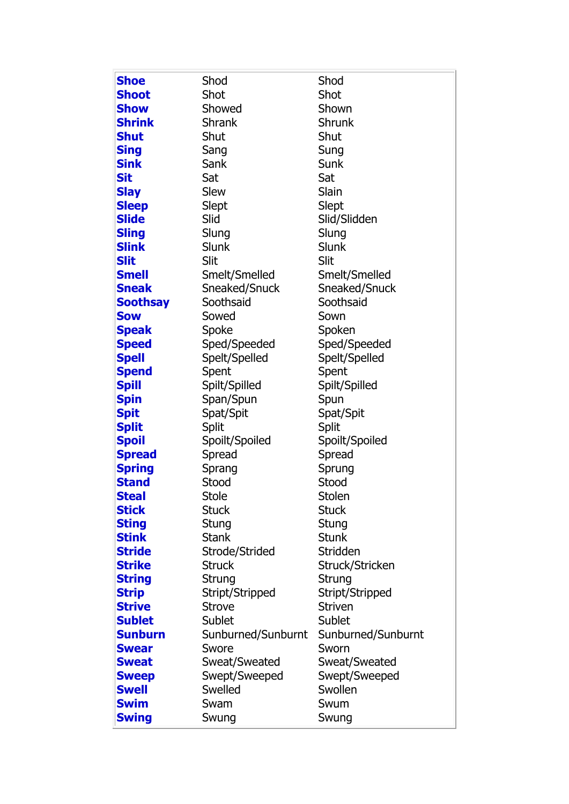| <b>Shoe</b>     | Shod               | Shod               |
|-----------------|--------------------|--------------------|
| <b>Shoot</b>    | Shot               | Shot               |
| <b>Show</b>     | Showed             | Shown              |
| <b>Shrink</b>   | <b>Shrank</b>      | Shrunk             |
| <b>Shut</b>     | Shut               | Shut               |
| <b>Sing</b>     | Sang               | Sung               |
| <b>Sink</b>     | Sank               | Sunk               |
| <b>Sit</b>      | Sat                | Sat                |
| <b>Slay</b>     | Slew               | Slain              |
| <b>Sleep</b>    | Slept              | Slept              |
| <b>Slide</b>    | Slid               | Slid/Slidden       |
| <b>Sling</b>    | Slung              | Slung              |
| <b>Slink</b>    | <b>Slunk</b>       | Slunk              |
| <b>Slit</b>     | Slit               | Slit               |
| <b>Smell</b>    | Smelt/Smelled      | Smelt/Smelled      |
| <b>Sneak</b>    | Sneaked/Snuck      | Sneaked/Snuck      |
| <b>Soothsay</b> | Soothsaid          | Soothsaid          |
| <b>Sow</b>      | Sowed              | Sown               |
| <b>Speak</b>    | Spoke              | Spoken             |
| <b>Speed</b>    | Sped/Speeded       | Sped/Speeded       |
| <b>Spell</b>    | Spelt/Spelled      | Spelt/Spelled      |
| <b>Spend</b>    | Spent              | Spent              |
| <b>Spill</b>    | Spilt/Spilled      | Spilt/Spilled      |
| <b>Spin</b>     | Span/Spun          | Spun               |
| <b>Spit</b>     | Spat/Spit          | Spat/Spit          |
| <b>Split</b>    | <b>Split</b>       | <b>Split</b>       |
| <b>Spoil</b>    | Spoilt/Spoiled     | Spoilt/Spoiled     |
| <b>Spread</b>   | Spread             | Spread             |
| <b>Spring</b>   | Sprang             | Sprung             |
| <b>Stand</b>    | Stood              | Stood              |
| <b>Steal</b>    | Stole              | Stolen             |
| <b>Stick</b>    | <b>Stuck</b>       | <b>Stuck</b>       |
| <b>Sting</b>    | Stung              | Stung              |
| <b>Stink</b>    | <b>Stank</b>       | <b>Stunk</b>       |
| <b>Stride</b>   | Strode/Strided     | Stridden           |
| <b>Strike</b>   | <b>Struck</b>      | Struck/Stricken    |
| <b>String</b>   | Strung             | Strung             |
| <b>Strip</b>    | Stript/Stripped    | Stript/Stripped    |
| <b>Strive</b>   | <b>Strove</b>      | <b>Striven</b>     |
| <b>Sublet</b>   | Sublet             | Sublet             |
| <b>Sunburn</b>  | Sunburned/Sunburnt | Sunburned/Sunburnt |
| <b>Swear</b>    | Swore              | Sworn              |
| <b>Sweat</b>    | Sweat/Sweated      | Sweat/Sweated      |
| <b>Sweep</b>    | Swept/Sweeped      | Swept/Sweeped      |
| <b>Swell</b>    | Swelled            | Swollen            |
| <b>Swim</b>     | Swam               | Swum               |
| <b>Swing</b>    | Swung              | Swung              |